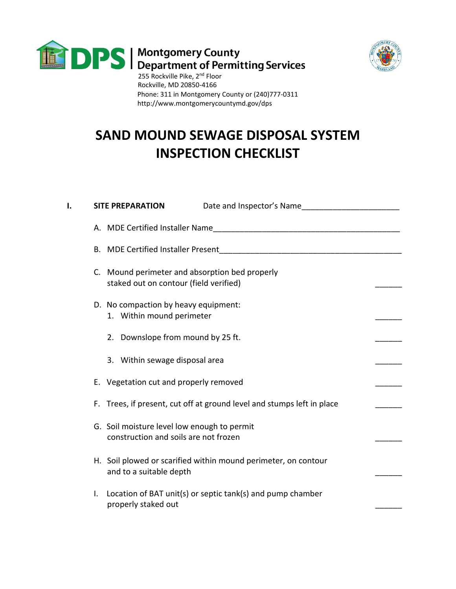



i,

 255 Rockville Pike, 2nd Floor Rockville, MD 20850-4166 Phone: 311 in Montgomery County or (240)777-0311 http://www.montgomerycountymd.gov/dps

## SAND MOUND SEWAGE DISPOSAL SYSTEM INSPECTION CHECKLIST

| I. |    | <b>SITE PREPARATION</b><br>Date and Inspector's Name                                      |  |
|----|----|-------------------------------------------------------------------------------------------|--|
|    |    | A. MDE Certified Installer Name                                                           |  |
|    |    |                                                                                           |  |
|    |    | C. Mound perimeter and absorption bed properly<br>staked out on contour (field verified)  |  |
|    |    | D. No compaction by heavy equipment:<br>1. Within mound perimeter                         |  |
|    |    | 2. Downslope from mound by 25 ft.                                                         |  |
|    |    | 3. Within sewage disposal area                                                            |  |
|    |    | E. Vegetation cut and properly removed                                                    |  |
|    |    | F. Trees, if present, cut off at ground level and stumps left in place                    |  |
|    |    | G. Soil moisture level low enough to permit<br>construction and soils are not frozen      |  |
|    |    | H. Soil plowed or scarified within mound perimeter, on contour<br>and to a suitable depth |  |
|    | I. | Location of BAT unit(s) or septic tank(s) and pump chamber<br>properly staked out         |  |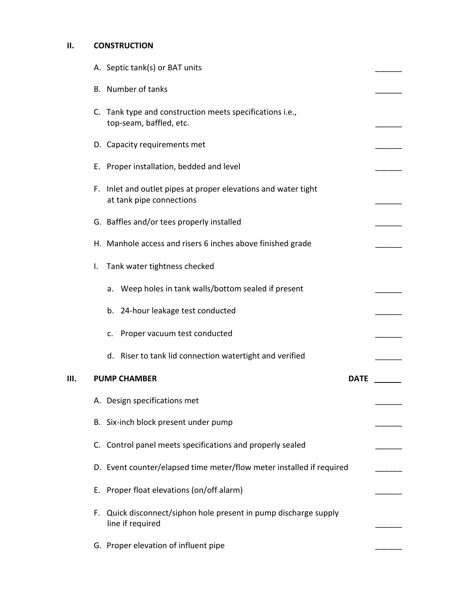## II. CONSTRUCTION

|    |    | A. Septic tank(s) or BAT units                                                             |  |
|----|----|--------------------------------------------------------------------------------------------|--|
|    |    | B. Number of tanks                                                                         |  |
|    |    | C. Tank type and construction meets specifications i.e.,<br>top-seam, baffled, etc.        |  |
|    |    | D. Capacity requirements met                                                               |  |
|    |    | E. Proper installation, bedded and level                                                   |  |
|    |    | F. Inlet and outlet pipes at proper elevations and water tight<br>at tank pipe connections |  |
|    |    | G. Baffles and/or tees properly installed                                                  |  |
|    |    | H. Manhole access and risers 6 inches above finished grade                                 |  |
|    | I. | Tank water tightness checked                                                               |  |
|    |    | a. Weep holes in tank walls/bottom sealed if present                                       |  |
|    |    | b. 24-hour leakage test conducted                                                          |  |
|    |    | Proper vacuum test conducted<br>c.                                                         |  |
|    |    | d. Riser to tank lid connection watertight and verified                                    |  |
| Ш. |    | <b>PUMP CHAMBER</b><br><b>DATE</b>                                                         |  |
|    |    | A. Design specifications met                                                               |  |
|    |    | B. Six-inch block present under pump                                                       |  |
|    |    | C. Control panel meets specifications and properly sealed                                  |  |
|    |    | D. Event counter/elapsed time meter/flow meter installed if required                       |  |
|    | Е. | Proper float elevations (on/off alarm)                                                     |  |
|    | F. | Quick disconnect/siphon hole present in pump discharge supply<br>line if required          |  |
|    |    | G. Proper elevation of influent pipe                                                       |  |
|    |    |                                                                                            |  |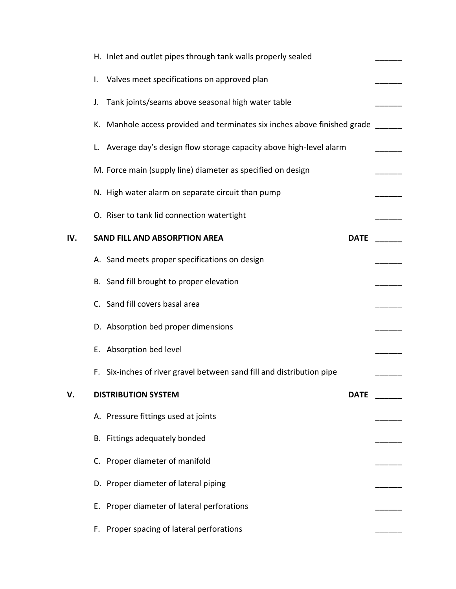|     | H. Inlet and outlet pipes through tank walls properly sealed              |             |  |
|-----|---------------------------------------------------------------------------|-------------|--|
|     | Valves meet specifications on approved plan<br>I.                         |             |  |
|     | Tank joints/seams above seasonal high water table<br>J.                   |             |  |
|     | K. Manhole access provided and terminates six inches above finished grade |             |  |
|     | Average day's design flow storage capacity above high-level alarm<br>L.   |             |  |
|     | M. Force main (supply line) diameter as specified on design               |             |  |
|     | N. High water alarm on separate circuit than pump                         |             |  |
|     | O. Riser to tank lid connection watertight                                |             |  |
| IV. | <b>SAND FILL AND ABSORPTION AREA</b>                                      | <b>DATE</b> |  |
|     | A. Sand meets proper specifications on design                             |             |  |
|     | B. Sand fill brought to proper elevation                                  |             |  |
|     | C. Sand fill covers basal area                                            |             |  |
|     | D. Absorption bed proper dimensions                                       |             |  |
|     | E. Absorption bed level                                                   |             |  |
|     | F. Six-inches of river gravel between sand fill and distribution pipe     |             |  |
| V.  | <b>DISTRIBUTION SYSTEM</b>                                                | <b>DATE</b> |  |
|     | A. Pressure fittings used at joints                                       |             |  |
|     | B. Fittings adequately bonded                                             |             |  |
|     | C. Proper diameter of manifold                                            |             |  |
|     | D. Proper diameter of lateral piping                                      |             |  |
|     | Proper diameter of lateral perforations<br>Е.                             |             |  |
|     | Proper spacing of lateral perforations<br>F.                              |             |  |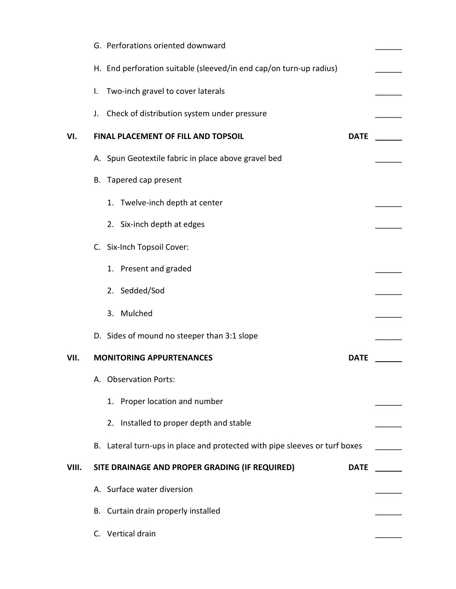|       | G. Perforations oriented downward                                          |             |
|-------|----------------------------------------------------------------------------|-------------|
|       | H. End perforation suitable (sleeved/in end cap/on turn-up radius)         |             |
|       | Two-inch gravel to cover laterals<br>I.                                    |             |
|       | J. Check of distribution system under pressure                             |             |
| VI.   | FINAL PLACEMENT OF FILL AND TOPSOIL                                        | <b>DATE</b> |
|       | A. Spun Geotextile fabric in place above gravel bed                        |             |
|       | B. Tapered cap present                                                     |             |
|       | 1. Twelve-inch depth at center                                             |             |
|       | 2. Six-inch depth at edges                                                 |             |
|       | C. Six-Inch Topsoil Cover:                                                 |             |
|       | 1. Present and graded                                                      |             |
|       | 2. Sedded/Sod                                                              |             |
|       | 3. Mulched                                                                 |             |
|       | D. Sides of mound no steeper than 3:1 slope                                |             |
| VII.  | <b>MONITORING APPURTENANCES</b>                                            | <b>DATE</b> |
|       | A. Observation Ports:                                                      |             |
|       | 1. Proper location and number                                              |             |
|       | 2. Installed to proper depth and stable                                    |             |
|       | B. Lateral turn-ups in place and protected with pipe sleeves or turf boxes |             |
| VIII. | SITE DRAINAGE AND PROPER GRADING (IF REQUIRED)                             | <b>DATE</b> |
|       | A. Surface water diversion                                                 |             |
|       | B. Curtain drain properly installed                                        |             |
|       | C. Vertical drain                                                          |             |